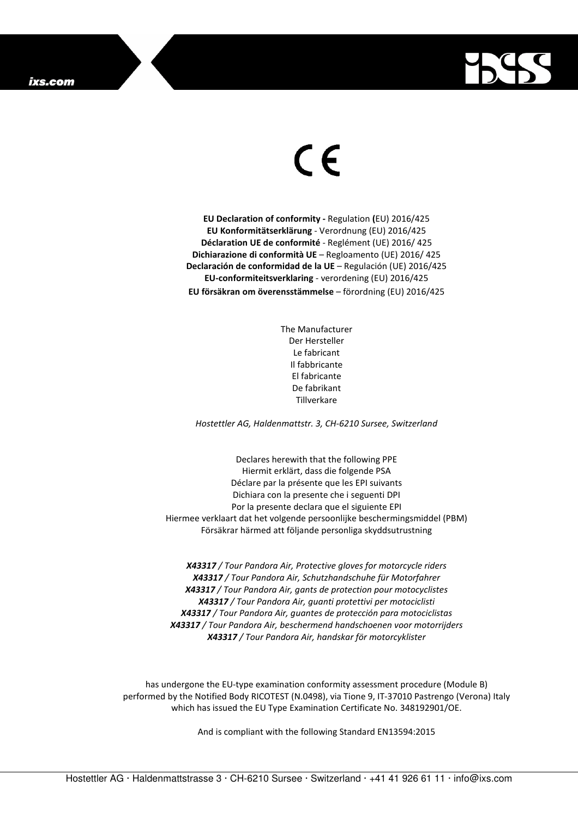

## $\in$

**EU Declaration of conformity -** Regulation **(**EU) 2016/425 **EU Konformitätserklärung** - Verordnung (EU) 2016/425 **Déclaration UE de conformité** - Reglément (UE) 2016/ 425 **Dichiarazione di conformità UE** – Regloamento (UE) 2016/ 425 **Declaración de conformidad de la UE** – Regulación (UE) 2016/425 **EU-conformiteitsverklaring** - verordening (EU) 2016/425 **EU försäkran om överensstämmelse** – förordning (EU) 2016/425

> The Manufacturer Der Hersteller Le fabricant Il fabbricante El fabricante De fabrikant Tillverkare

*Hostettler AG, Haldenmattstr. 3, CH-6210 Sursee, Switzerland* 

Declares herewith that the following PPE Hiermit erklärt, dass die folgende PSA Déclare par la présente que les EPI suivants Dichiara con la presente che i seguenti DPI Por la presente declara que el siguiente EPI Hiermee verklaart dat het volgende persoonlijke beschermingsmiddel (PBM) Försäkrar härmed att följande personliga skyddsutrustning

*X43317 / Tour Pandora Air, Protective gloves for motorcycle riders X43317 / Tour Pandora Air, Schutzhandschuhe für Motorfahrer X43317 / Tour Pandora Air, gants de protection pour motocyclistes X43317 / Tour Pandora Air, guanti protettivi per motociclisti X43317 / Tour Pandora Air, guantes de protección para motociclistas X43317 / Tour Pandora Air, beschermend handschoenen voor motorrijders X43317 / Tour Pandora Air, handskar för motorcyklister* 

has undergone the EU-type examination conformity assessment procedure (Module B) performed by the Notified Body RICOTEST (N.0498), via Tione 9, IT-37010 Pastrengo (Verona) Italy which has issued the EU Type Examination Certificate No. 348192901/OE.

And is compliant with the following Standard EN13594:2015